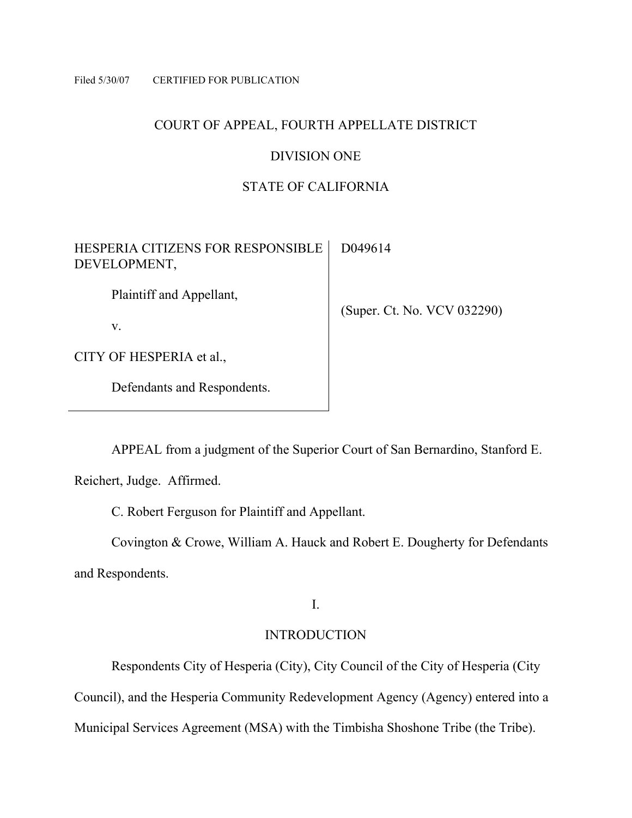#### Filed 5/30/07 CERTIFIED FOR PUBLICATION

## COURT OF APPEAL, FOURTH APPELLATE DISTRICT

## DIVISION ONE

# STATE OF CALIFORNIA

| HESPERIA CITIZENS FOR RESPONSIBLE<br>DEVELOPMENT, | D049614                     |
|---------------------------------------------------|-----------------------------|
| Plaintiff and Appellant,                          |                             |
| V.                                                | (Super. Ct. No. VCV 032290) |
| CITY OF HESPERIA et al.,                          |                             |
| Defendants and Respondents.                       |                             |

APPEAL from a judgment of the Superior Court of San Bernardino, Stanford E.

Reichert, Judge. Affirmed.

C. Robert Ferguson for Plaintiff and Appellant.

 Covington & Crowe, William A. Hauck and Robert E. Dougherty for Defendants and Respondents.

I.

# INTRODUCTION

Respondents City of Hesperia (City), City Council of the City of Hesperia (City

Council), and the Hesperia Community Redevelopment Agency (Agency) entered into a

Municipal Services Agreement (MSA) with the Timbisha Shoshone Tribe (the Tribe).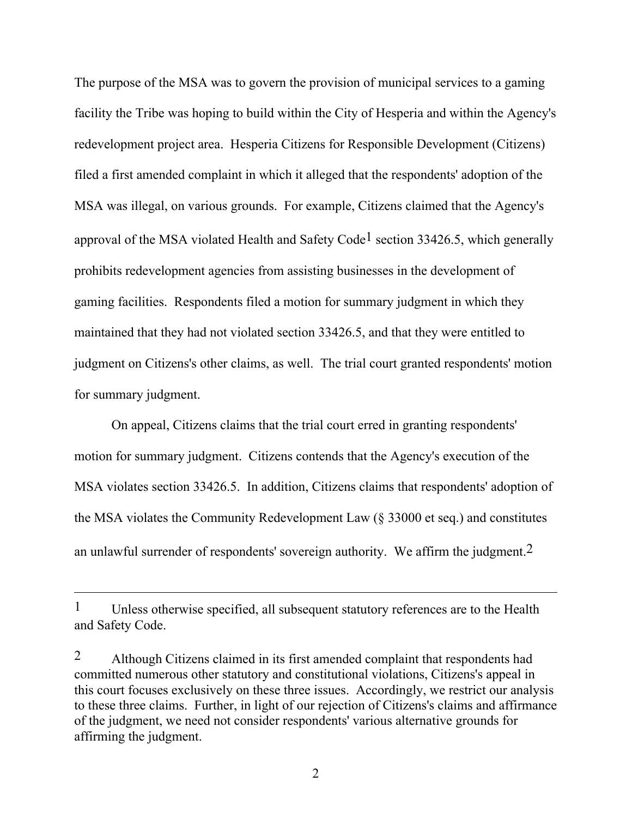The purpose of the MSA was to govern the provision of municipal services to a gaming facility the Tribe was hoping to build within the City of Hesperia and within the Agency's redevelopment project area. Hesperia Citizens for Responsible Development (Citizens) filed a first amended complaint in which it alleged that the respondents' adoption of the MSA was illegal, on various grounds. For example, Citizens claimed that the Agency's approval of the MSA violated Health and Safety Code<sup>1</sup> section 33426.5, which generally prohibits redevelopment agencies from assisting businesses in the development of gaming facilities. Respondents filed a motion for summary judgment in which they maintained that they had not violated section 33426.5, and that they were entitled to judgment on Citizens's other claims, as well. The trial court granted respondents' motion for summary judgment.

 On appeal, Citizens claims that the trial court erred in granting respondents' motion for summary judgment. Citizens contends that the Agency's execution of the MSA violates section 33426.5. In addition, Citizens claims that respondents' adoption of the MSA violates the Community Redevelopment Law (§ 33000 et seq.) and constitutes an unlawful surrender of respondents' sovereign authority. We affirm the judgment.2

<sup>&</sup>lt;sup>1</sup> Unless otherwise specified, all subsequent statutory references are to the Health and Safety Code.

<sup>2</sup> Although Citizens claimed in its first amended complaint that respondents had committed numerous other statutory and constitutional violations, Citizens's appeal in this court focuses exclusively on these three issues. Accordingly, we restrict our analysis to these three claims. Further, in light of our rejection of Citizens's claims and affirmance of the judgment, we need not consider respondents' various alternative grounds for affirming the judgment.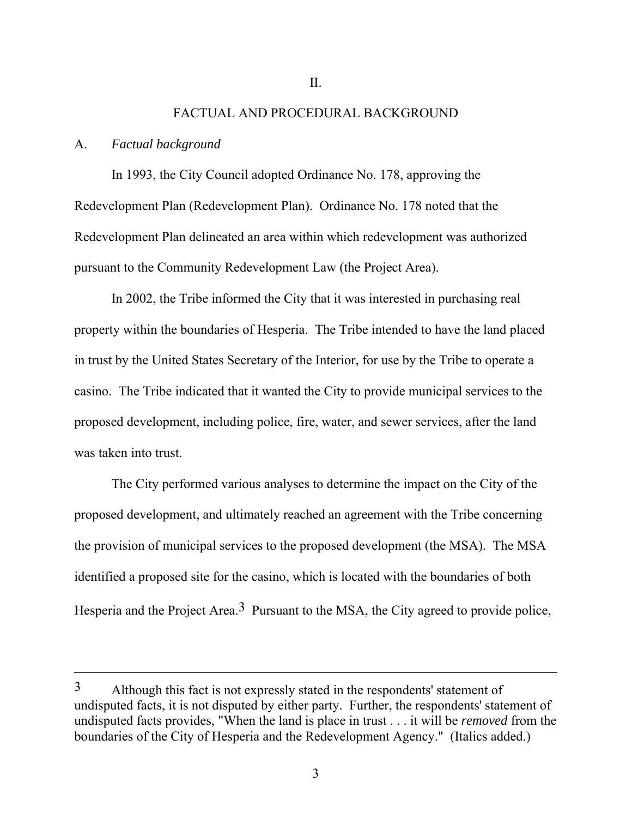### FACTUAL AND PROCEDURAL BACKGROUND

#### A. *Factual background*

 $\overline{a}$ 

 In 1993, the City Council adopted Ordinance No. 178, approving the Redevelopment Plan (Redevelopment Plan). Ordinance No. 178 noted that the Redevelopment Plan delineated an area within which redevelopment was authorized pursuant to the Community Redevelopment Law (the Project Area).

 In 2002, the Tribe informed the City that it was interested in purchasing real property within the boundaries of Hesperia. The Tribe intended to have the land placed in trust by the United States Secretary of the Interior, for use by the Tribe to operate a casino. The Tribe indicated that it wanted the City to provide municipal services to the proposed development, including police, fire, water, and sewer services, after the land was taken into trust.

 The City performed various analyses to determine the impact on the City of the proposed development, and ultimately reached an agreement with the Tribe concerning the provision of municipal services to the proposed development (the MSA). The MSA identified a proposed site for the casino, which is located with the boundaries of both Hesperia and the Project Area.<sup>3</sup> Pursuant to the MSA, the City agreed to provide police,

<sup>3</sup> Although this fact is not expressly stated in the respondents' statement of undisputed facts, it is not disputed by either party. Further, the respondents' statement of undisputed facts provides, "When the land is place in trust . . . it will be *removed* from the boundaries of the City of Hesperia and the Redevelopment Agency." (Italics added.)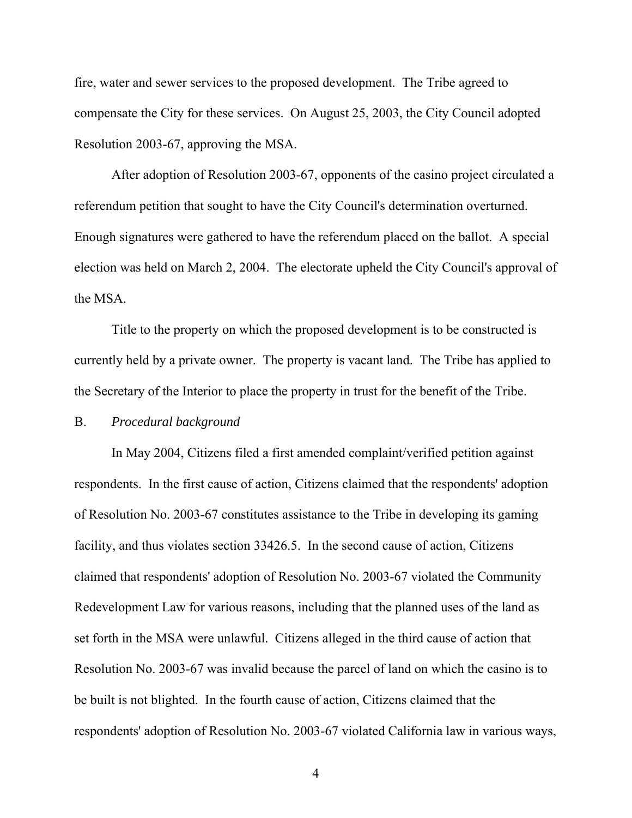fire, water and sewer services to the proposed development. The Tribe agreed to compensate the City for these services. On August 25, 2003, the City Council adopted Resolution 2003-67, approving the MSA.

 After adoption of Resolution 2003-67, opponents of the casino project circulated a referendum petition that sought to have the City Council's determination overturned. Enough signatures were gathered to have the referendum placed on the ballot. A special election was held on March 2, 2004. The electorate upheld the City Council's approval of the MSA.

 Title to the property on which the proposed development is to be constructed is currently held by a private owner. The property is vacant land. The Tribe has applied to the Secretary of the Interior to place the property in trust for the benefit of the Tribe.

### B. *Procedural background*

 In May 2004, Citizens filed a first amended complaint/verified petition against respondents. In the first cause of action, Citizens claimed that the respondents' adoption of Resolution No. 2003-67 constitutes assistance to the Tribe in developing its gaming facility, and thus violates section 33426.5. In the second cause of action, Citizens claimed that respondents' adoption of Resolution No. 2003-67 violated the Community Redevelopment Law for various reasons, including that the planned uses of the land as set forth in the MSA were unlawful. Citizens alleged in the third cause of action that Resolution No. 2003-67 was invalid because the parcel of land on which the casino is to be built is not blighted. In the fourth cause of action, Citizens claimed that the respondents' adoption of Resolution No. 2003-67 violated California law in various ways,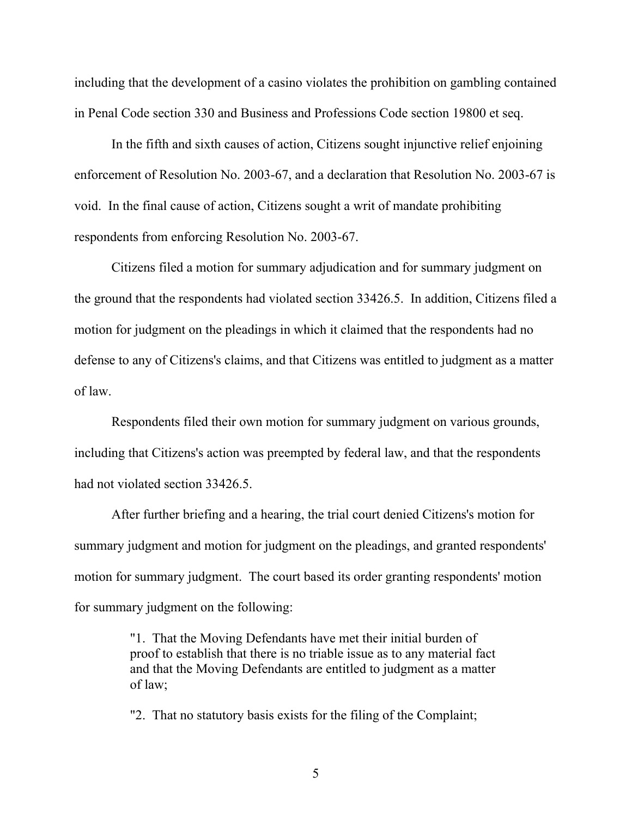including that the development of a casino violates the prohibition on gambling contained in Penal Code section 330 and Business and Professions Code section 19800 et seq.

 In the fifth and sixth causes of action, Citizens sought injunctive relief enjoining enforcement of Resolution No. 2003-67, and a declaration that Resolution No. 2003-67 is void. In the final cause of action, Citizens sought a writ of mandate prohibiting respondents from enforcing Resolution No. 2003-67.

 Citizens filed a motion for summary adjudication and for summary judgment on the ground that the respondents had violated section 33426.5. In addition, Citizens filed a motion for judgment on the pleadings in which it claimed that the respondents had no defense to any of Citizens's claims, and that Citizens was entitled to judgment as a matter of law.

 Respondents filed their own motion for summary judgment on various grounds, including that Citizens's action was preempted by federal law, and that the respondents had not violated section 33426.5.

 After further briefing and a hearing, the trial court denied Citizens's motion for summary judgment and motion for judgment on the pleadings, and granted respondents' motion for summary judgment. The court based its order granting respondents' motion for summary judgment on the following:

> "1. That the Moving Defendants have met their initial burden of proof to establish that there is no triable issue as to any material fact and that the Moving Defendants are entitled to judgment as a matter of law;

"2. That no statutory basis exists for the filing of the Complaint;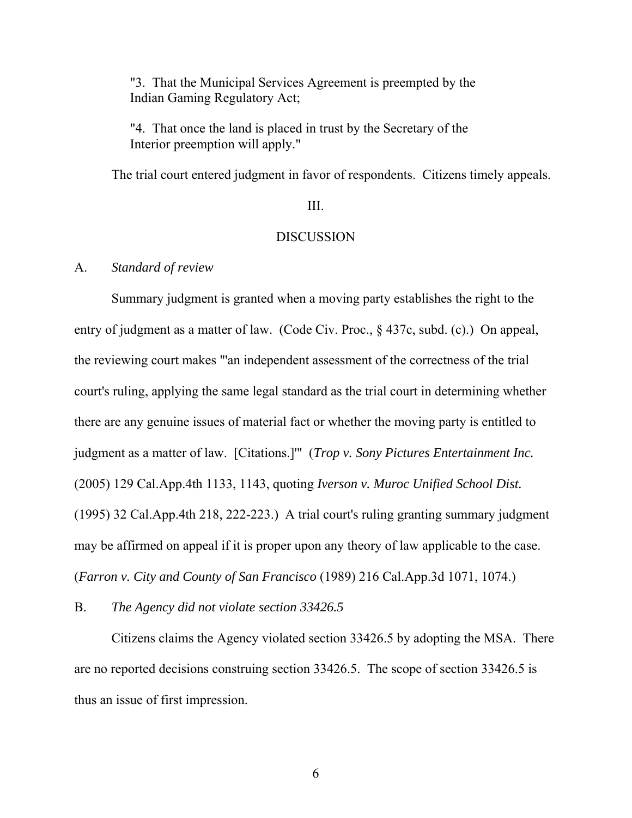"3. That the Municipal Services Agreement is preempted by the Indian Gaming Regulatory Act;

"4. That once the land is placed in trust by the Secretary of the Interior preemption will apply."

The trial court entered judgment in favor of respondents. Citizens timely appeals.

## III.

### **DISCUSSION**

## A. *Standard of review*

 Summary judgment is granted when a moving party establishes the right to the entry of judgment as a matter of law. (Code Civ. Proc., § 437c, subd. (c).) On appeal, the reviewing court makes "'an independent assessment of the correctness of the trial court's ruling, applying the same legal standard as the trial court in determining whether there are any genuine issues of material fact or whether the moving party is entitled to judgment as a matter of law. [Citations.]'" (*Trop v. Sony Pictures Entertainment Inc.* (2005) 129 Cal.App.4th 1133, 1143, quoting *Iverson v. Muroc Unified School Dist.* (1995) 32 Cal.App.4th 218, 222-223.) A trial court's ruling granting summary judgment may be affirmed on appeal if it is proper upon any theory of law applicable to the case. (*Farron v. City and County of San Francisco* (1989) 216 Cal.App.3d 1071, 1074.)

B. *The Agency did not violate section 33426.5* 

 Citizens claims the Agency violated section 33426.5 by adopting the MSA. There are no reported decisions construing section 33426.5. The scope of section 33426.5 is thus an issue of first impression.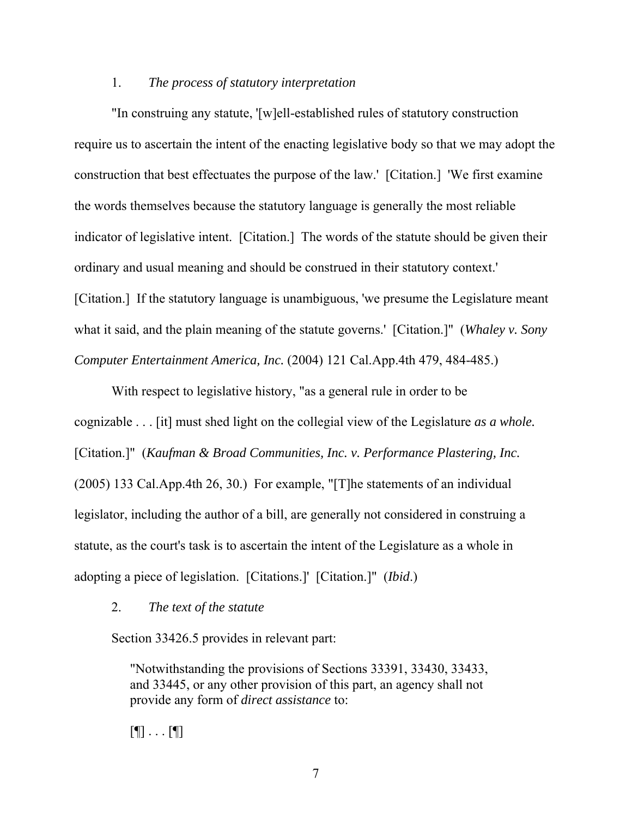### 1. *The process of statutory interpretation*

 "In construing any statute, '[w]ell-established rules of statutory construction require us to ascertain the intent of the enacting legislative body so that we may adopt the construction that best effectuates the purpose of the law.' [Citation.] 'We first examine the words themselves because the statutory language is generally the most reliable indicator of legislative intent. [Citation.] The words of the statute should be given their ordinary and usual meaning and should be construed in their statutory context.' [Citation.] If the statutory language is unambiguous, 'we presume the Legislature meant what it said, and the plain meaning of the statute governs.' [Citation.]" (*Whaley v. Sony Computer Entertainment America, Inc.* (2004) 121 Cal.App.4th 479, 484-485.)

 With respect to legislative history, "as a general rule in order to be cognizable . . . [it] must shed light on the collegial view of the Legislature *as a whole.* [Citation.]" (*Kaufman & Broad Communities, Inc. v. Performance Plastering, Inc.*  (2005) 133 Cal.App.4th 26, 30.) For example, "[T]he statements of an individual legislator, including the author of a bill, are generally not considered in construing a statute, as the court's task is to ascertain the intent of the Legislature as a whole in adopting a piece of legislation. [Citations.]' [Citation.]" (*Ibid*.)

2. *The text of the statute*

Section 33426.5 provides in relevant part:

"Notwithstanding the provisions of Sections 33391, 33430, 33433, and 33445, or any other provision of this part, an agency shall not provide any form of *direct assistance* to:

 $[\P]$  . . .  $[\P]$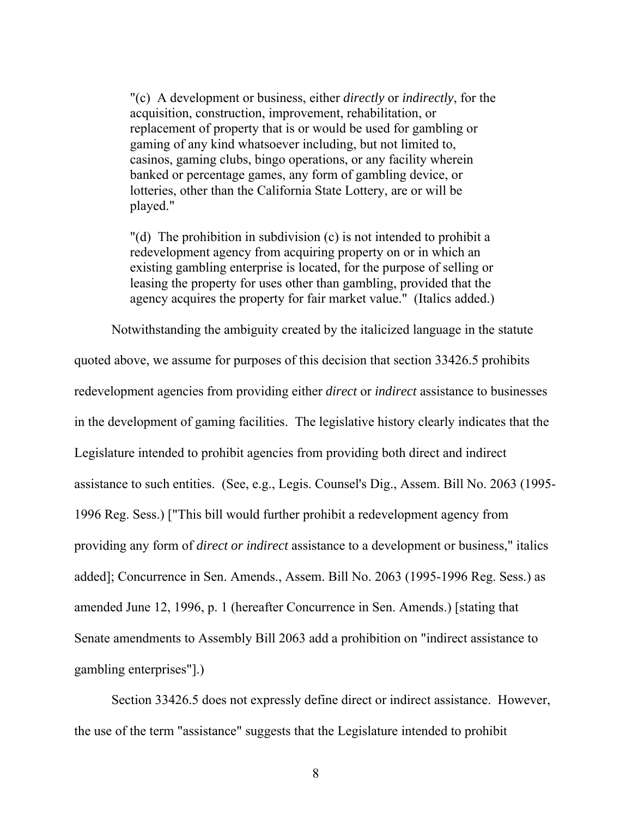"(c) A development or business, either *directly* or *indirectly*, for the acquisition, construction, improvement, rehabilitation, or replacement of property that is or would be used for gambling or gaming of any kind whatsoever including, but not limited to, casinos, gaming clubs, bingo operations, or any facility wherein banked or percentage games, any form of gambling device, or lotteries, other than the California State Lottery, are or will be played."

"(d) The prohibition in subdivision (c) is not intended to prohibit a redevelopment agency from acquiring property on or in which an existing gambling enterprise is located, for the purpose of selling or leasing the property for uses other than gambling, provided that the agency acquires the property for fair market value." (Italics added.)

Notwithstanding the ambiguity created by the italicized language in the statute

quoted above, we assume for purposes of this decision that section 33426.5 prohibits redevelopment agencies from providing either *direct* or *indirect* assistance to businesses in the development of gaming facilities. The legislative history clearly indicates that the Legislature intended to prohibit agencies from providing both direct and indirect assistance to such entities. (See, e.g., Legis. Counsel's Dig., Assem. Bill No. 2063 (1995- 1996 Reg. Sess.) ["This bill would further prohibit a redevelopment agency from providing any form of *direct or indirect* assistance to a development or business," italics added]; Concurrence in Sen. Amends., Assem. Bill No. 2063 (1995-1996 Reg. Sess.) as amended June 12, 1996, p. 1 (hereafter Concurrence in Sen. Amends.) [stating that Senate amendments to Assembly Bill 2063 add a prohibition on "indirect assistance to gambling enterprises"].)

 Section 33426.5 does not expressly define direct or indirect assistance. However, the use of the term "assistance" suggests that the Legislature intended to prohibit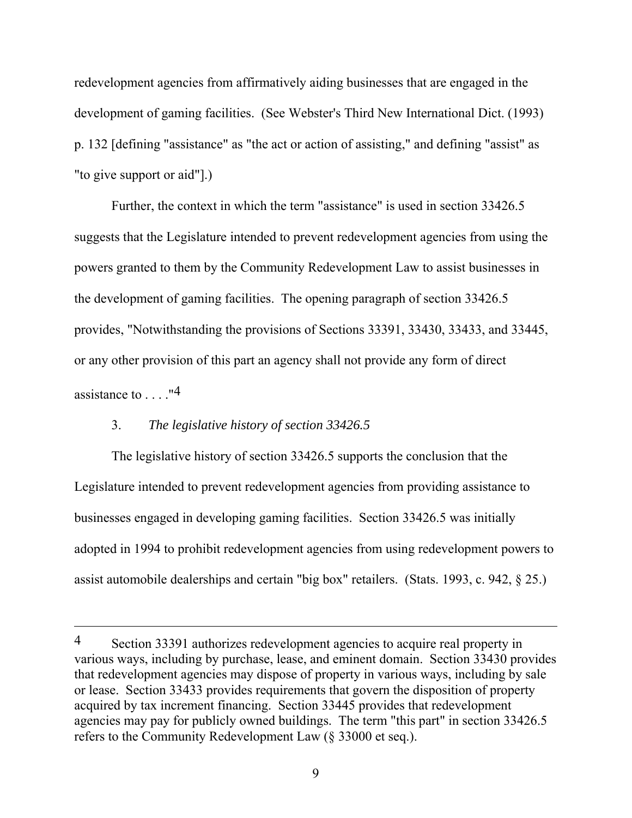redevelopment agencies from affirmatively aiding businesses that are engaged in the development of gaming facilities. (See Webster's Third New International Dict. (1993) p. 132 [defining "assistance" as "the act or action of assisting," and defining "assist" as "to give support or aid"].)

 Further, the context in which the term "assistance" is used in section 33426.5 suggests that the Legislature intended to prevent redevelopment agencies from using the powers granted to them by the Community Redevelopment Law to assist businesses in the development of gaming facilities. The opening paragraph of section 33426.5 provides, "Notwithstanding the provisions of Sections 33391, 33430, 33433, and 33445, or any other provision of this part an agency shall not provide any form of direct assistance to  $\dots$ ."<sup>4</sup>

## 3. *The legislative history of section 33426.5*

 $\overline{a}$ 

 The legislative history of section 33426.5 supports the conclusion that the Legislature intended to prevent redevelopment agencies from providing assistance to businesses engaged in developing gaming facilities. Section 33426.5 was initially adopted in 1994 to prohibit redevelopment agencies from using redevelopment powers to assist automobile dealerships and certain "big box" retailers. (Stats. 1993, c. 942, § 25.)

<sup>4</sup> Section 33391 authorizes redevelopment agencies to acquire real property in various ways, including by purchase, lease, and eminent domain. Section 33430 provides that redevelopment agencies may dispose of property in various ways, including by sale or lease. Section 33433 provides requirements that govern the disposition of property acquired by tax increment financing. Section 33445 provides that redevelopment agencies may pay for publicly owned buildings. The term "this part" in section 33426.5 refers to the Community Redevelopment Law (§ 33000 et seq.).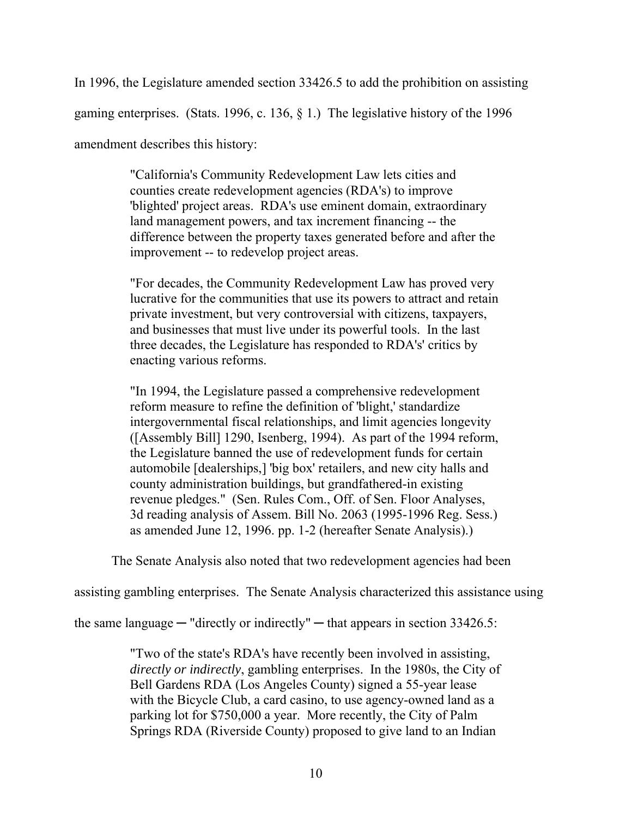In 1996, the Legislature amended section 33426.5 to add the prohibition on assisting gaming enterprises. (Stats. 1996, c. 136, § 1.) The legislative history of the 1996 amendment describes this history:

> "California's Community Redevelopment Law lets cities and counties create redevelopment agencies (RDA's) to improve 'blighted' project areas. RDA's use eminent domain, extraordinary land management powers, and tax increment financing -- the difference between the property taxes generated before and after the improvement -- to redevelop project areas.

> "For decades, the Community Redevelopment Law has proved very lucrative for the communities that use its powers to attract and retain private investment, but very controversial with citizens, taxpayers, and businesses that must live under its powerful tools. In the last three decades, the Legislature has responded to RDA's' critics by enacting various reforms.

> "In 1994, the Legislature passed a comprehensive redevelopment reform measure to refine the definition of 'blight,' standardize intergovernmental fiscal relationships, and limit agencies longevity ([Assembly Bill] 1290, Isenberg, 1994). As part of the 1994 reform, the Legislature banned the use of redevelopment funds for certain automobile [dealerships,] 'big box' retailers, and new city halls and county administration buildings, but grandfathered-in existing revenue pledges." (Sen. Rules Com., Off. of Sen. Floor Analyses, 3d reading analysis of Assem. Bill No. 2063 (1995-1996 Reg. Sess.) as amended June 12, 1996. pp. 1-2 (hereafter Senate Analysis).)

The Senate Analysis also noted that two redevelopment agencies had been

assisting gambling enterprises. The Senate Analysis characterized this assistance using

the same language  $-$  "directly or indirectly"  $-$  that appears in section 33426.5:

"Two of the state's RDA's have recently been involved in assisting, *directly or indirectly*, gambling enterprises. In the 1980s, the City of Bell Gardens RDA (Los Angeles County) signed a 55-year lease with the Bicycle Club, a card casino, to use agency-owned land as a parking lot for \$750,000 a year. More recently, the City of Palm Springs RDA (Riverside County) proposed to give land to an Indian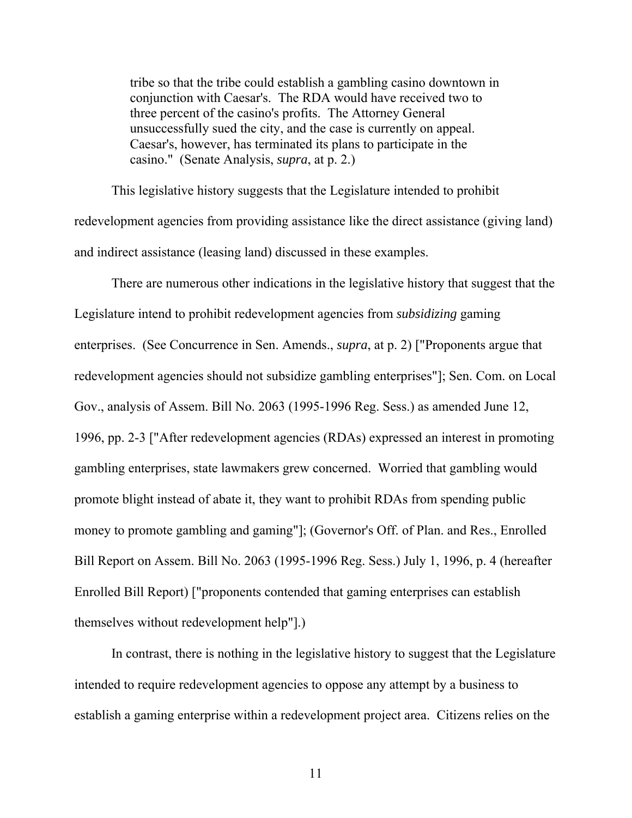tribe so that the tribe could establish a gambling casino downtown in conjunction with Caesar's. The RDA would have received two to three percent of the casino's profits. The Attorney General unsuccessfully sued the city, and the case is currently on appeal. Caesar's, however, has terminated its plans to participate in the casino." (Senate Analysis, *supra*, at p. 2.)

 This legislative history suggests that the Legislature intended to prohibit redevelopment agencies from providing assistance like the direct assistance (giving land) and indirect assistance (leasing land) discussed in these examples.

 There are numerous other indications in the legislative history that suggest that the Legislature intend to prohibit redevelopment agencies from *subsidizing* gaming enterprises. (See Concurrence in Sen. Amends., *supra*, at p. 2) ["Proponents argue that redevelopment agencies should not subsidize gambling enterprises"]; Sen. Com. on Local Gov., analysis of Assem. Bill No. 2063 (1995-1996 Reg. Sess.) as amended June 12, 1996, pp. 2-3 ["After redevelopment agencies (RDAs) expressed an interest in promoting gambling enterprises, state lawmakers grew concerned. Worried that gambling would promote blight instead of abate it, they want to prohibit RDAs from spending public money to promote gambling and gaming"]; (Governor's Off. of Plan. and Res., Enrolled Bill Report on Assem. Bill No. 2063 (1995-1996 Reg. Sess.) July 1, 1996, p. 4 (hereafter Enrolled Bill Report) ["proponents contended that gaming enterprises can establish themselves without redevelopment help"].)

 In contrast, there is nothing in the legislative history to suggest that the Legislature intended to require redevelopment agencies to oppose any attempt by a business to establish a gaming enterprise within a redevelopment project area. Citizens relies on the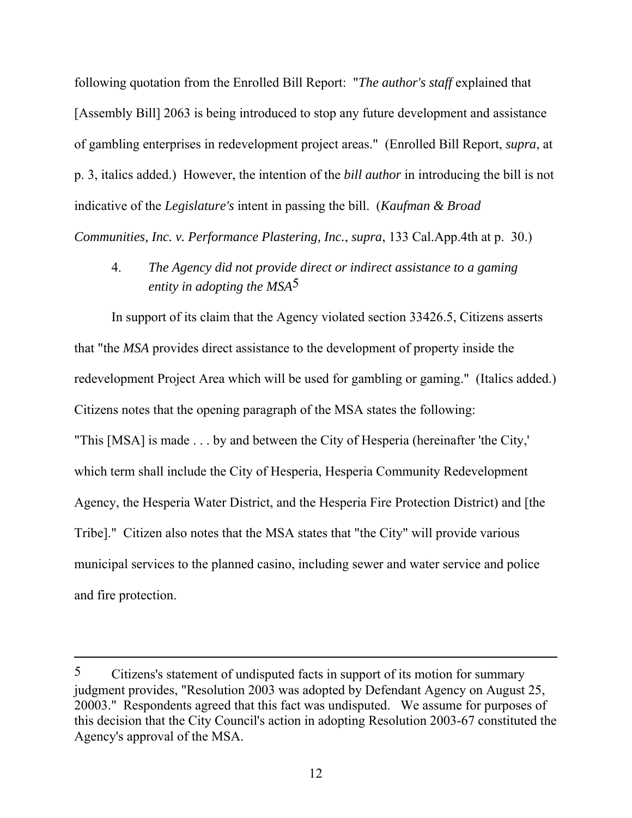following quotation from the Enrolled Bill Report: "*The author's staff* explained that [Assembly Bill] 2063 is being introduced to stop any future development and assistance of gambling enterprises in redevelopment project areas." (Enrolled Bill Report, *supra*, at p. 3, italics added.) However, the intention of the *bill author* in introducing the bill is not indicative of the *Legislature's* intent in passing the bill. (*Kaufman & Broad* 

*Communities, Inc. v. Performance Plastering, Inc.*, *supra*, 133 Cal.App.4th at p. 30.)

 4. *The Agency did not provide direct or indirect assistance to a gaming entity in adopting the MSA*5

 In support of its claim that the Agency violated section 33426.5, Citizens asserts that "the *MSA* provides direct assistance to the development of property inside the redevelopment Project Area which will be used for gambling or gaming." (Italics added.) Citizens notes that the opening paragraph of the MSA states the following: "This [MSA] is made . . . by and between the City of Hesperia (hereinafter 'the City,' which term shall include the City of Hesperia, Hesperia Community Redevelopment Agency, the Hesperia Water District, and the Hesperia Fire Protection District) and [the Tribe]." Citizen also notes that the MSA states that "the City" will provide various municipal services to the planned casino, including sewer and water service and police and fire protection.

 $\overline{a}$ 

<sup>5</sup> Citizens's statement of undisputed facts in support of its motion for summary judgment provides, "Resolution 2003 was adopted by Defendant Agency on August 25, 20003." Respondents agreed that this fact was undisputed. We assume for purposes of this decision that the City Council's action in adopting Resolution 2003-67 constituted the Agency's approval of the MSA.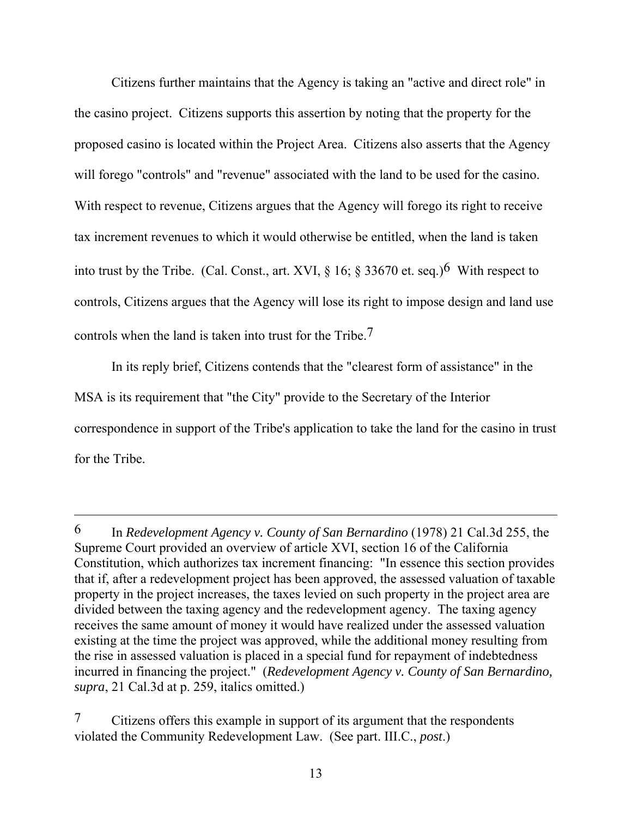Citizens further maintains that the Agency is taking an "active and direct role" in the casino project. Citizens supports this assertion by noting that the property for the proposed casino is located within the Project Area. Citizens also asserts that the Agency will forego "controls" and "revenue" associated with the land to be used for the casino. With respect to revenue, Citizens argues that the Agency will forego its right to receive tax increment revenues to which it would otherwise be entitled, when the land is taken into trust by the Tribe. (Cal. Const., art. XVI,  $\S$  16;  $\S$  33670 et. seq.)<sup>6</sup> With respect to controls, Citizens argues that the Agency will lose its right to impose design and land use controls when the land is taken into trust for the Tribe.7

 In its reply brief, Citizens contends that the "clearest form of assistance" in the MSA is its requirement that "the City" provide to the Secretary of the Interior correspondence in support of the Tribe's application to take the land for the casino in trust for the Tribe.

 $\overline{a}$ 

<sup>6</sup> In *Redevelopment Agency v. County of San Bernardino* (1978) 21 Cal.3d 255, the Supreme Court provided an overview of article XVI, section 16 of the California Constitution, which authorizes tax increment financing: "In essence this section provides that if, after a redevelopment project has been approved, the assessed valuation of taxable property in the project increases, the taxes levied on such property in the project area are divided between the taxing agency and the redevelopment agency. The taxing agency receives the same amount of money it would have realized under the assessed valuation existing at the time the project was approved, while the additional money resulting from the rise in assessed valuation is placed in a special fund for repayment of indebtedness incurred in financing the project." (*Redevelopment Agency v. County of San Bernardino, supra*, 21 Cal.3d at p. 259, italics omitted.)

<sup>7</sup> Citizens offers this example in support of its argument that the respondents violated the Community Redevelopment Law. (See part. III.C., *post*.)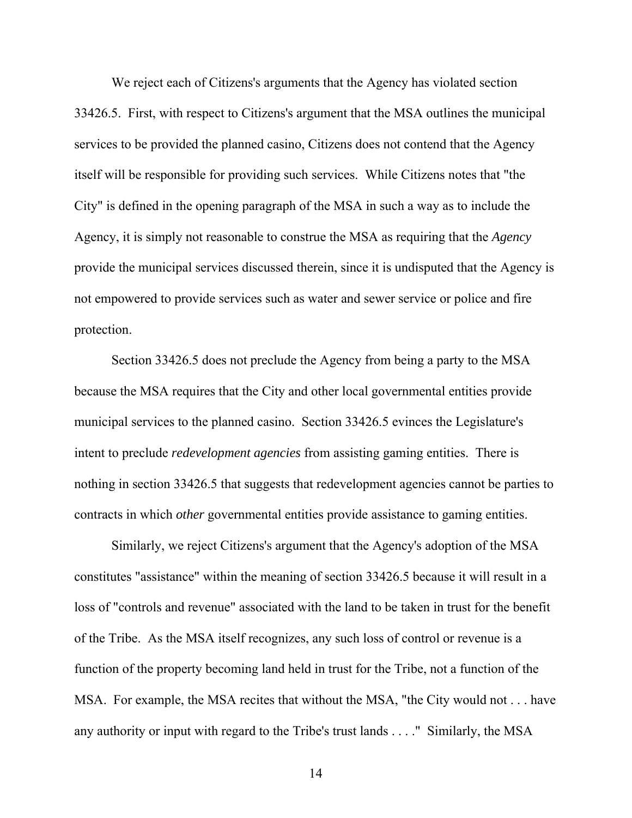We reject each of Citizens's arguments that the Agency has violated section 33426.5. First, with respect to Citizens's argument that the MSA outlines the municipal services to be provided the planned casino, Citizens does not contend that the Agency itself will be responsible for providing such services. While Citizens notes that "the City" is defined in the opening paragraph of the MSA in such a way as to include the Agency, it is simply not reasonable to construe the MSA as requiring that the *Agency* provide the municipal services discussed therein, since it is undisputed that the Agency is not empowered to provide services such as water and sewer service or police and fire protection.

 Section 33426.5 does not preclude the Agency from being a party to the MSA because the MSA requires that the City and other local governmental entities provide municipal services to the planned casino. Section 33426.5 evinces the Legislature's intent to preclude *redevelopment agencies* from assisting gaming entities. There is nothing in section 33426.5 that suggests that redevelopment agencies cannot be parties to contracts in which *other* governmental entities provide assistance to gaming entities.

 Similarly, we reject Citizens's argument that the Agency's adoption of the MSA constitutes "assistance" within the meaning of section 33426.5 because it will result in a loss of "controls and revenue" associated with the land to be taken in trust for the benefit of the Tribe. As the MSA itself recognizes, any such loss of control or revenue is a function of the property becoming land held in trust for the Tribe, not a function of the MSA. For example, the MSA recites that without the MSA, "the City would not . . . have any authority or input with regard to the Tribe's trust lands . . . ." Similarly, the MSA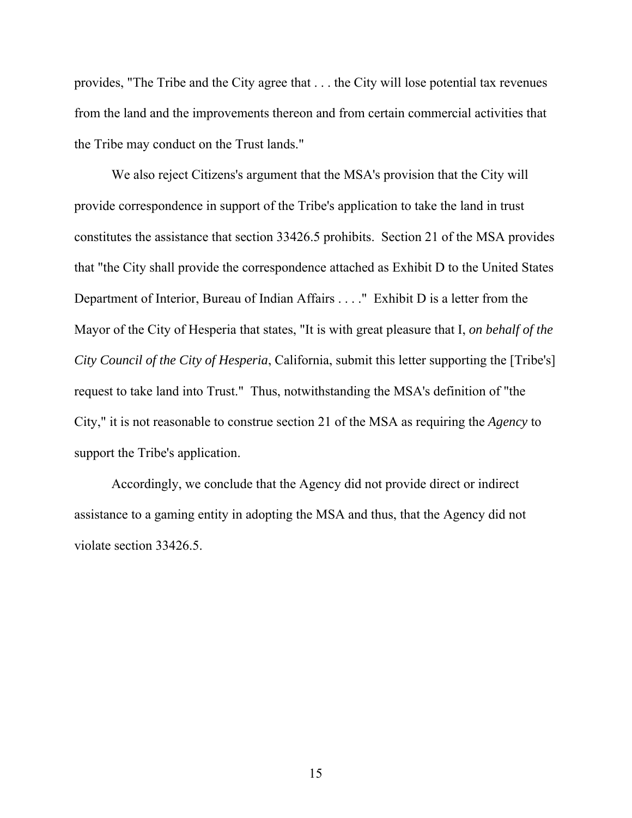provides, "The Tribe and the City agree that . . . the City will lose potential tax revenues from the land and the improvements thereon and from certain commercial activities that the Tribe may conduct on the Trust lands."

 We also reject Citizens's argument that the MSA's provision that the City will provide correspondence in support of the Tribe's application to take the land in trust constitutes the assistance that section 33426.5 prohibits. Section 21 of the MSA provides that "the City shall provide the correspondence attached as Exhibit D to the United States Department of Interior, Bureau of Indian Affairs . . . ." Exhibit D is a letter from the Mayor of the City of Hesperia that states, "It is with great pleasure that I, *on behalf of the City Council of the City of Hesperia*, California, submit this letter supporting the [Tribe's] request to take land into Trust." Thus, notwithstanding the MSA's definition of "the City," it is not reasonable to construe section 21 of the MSA as requiring the *Agency* to support the Tribe's application.

 Accordingly, we conclude that the Agency did not provide direct or indirect assistance to a gaming entity in adopting the MSA and thus, that the Agency did not violate section 33426.5.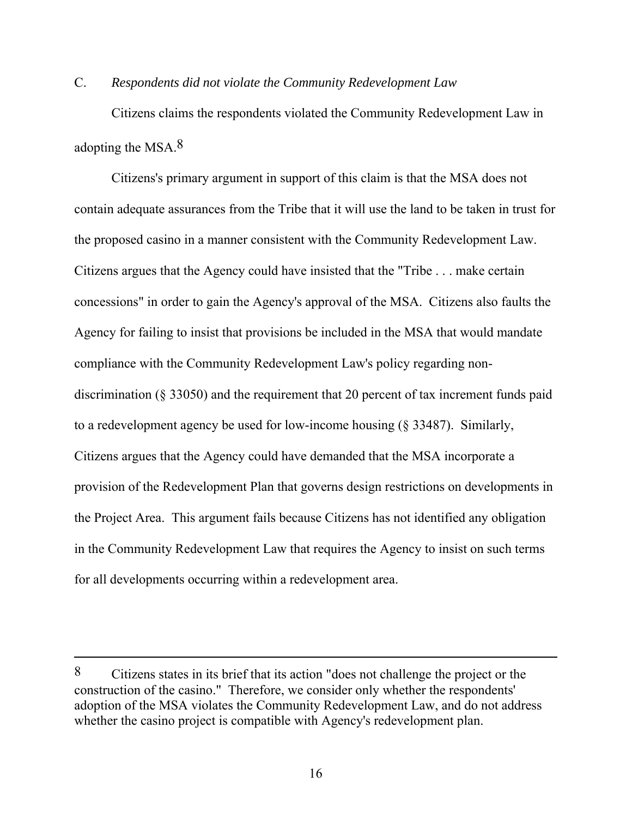## C. *Respondents did not violate the Community Redevelopment Law*

Citizens claims the respondents violated the Community Redevelopment Law in adopting the MSA.8

 Citizens's primary argument in support of this claim is that the MSA does not contain adequate assurances from the Tribe that it will use the land to be taken in trust for the proposed casino in a manner consistent with the Community Redevelopment Law. Citizens argues that the Agency could have insisted that the "Tribe . . . make certain concessions" in order to gain the Agency's approval of the MSA. Citizens also faults the Agency for failing to insist that provisions be included in the MSA that would mandate compliance with the Community Redevelopment Law's policy regarding nondiscrimination (§ 33050) and the requirement that 20 percent of tax increment funds paid to a redevelopment agency be used for low-income housing (§ 33487). Similarly, Citizens argues that the Agency could have demanded that the MSA incorporate a provision of the Redevelopment Plan that governs design restrictions on developments in the Project Area. This argument fails because Citizens has not identified any obligation in the Community Redevelopment Law that requires the Agency to insist on such terms for all developments occurring within a redevelopment area.

 $\overline{a}$ 

<sup>8</sup> Citizens states in its brief that its action "does not challenge the project or the construction of the casino." Therefore, we consider only whether the respondents' adoption of the MSA violates the Community Redevelopment Law, and do not address whether the casino project is compatible with Agency's redevelopment plan.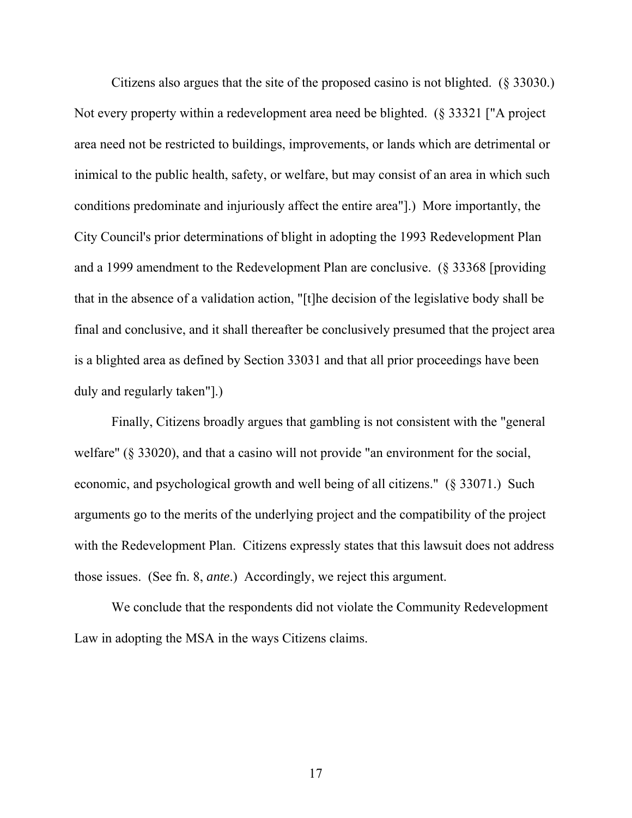Citizens also argues that the site of the proposed casino is not blighted. (§ 33030.) Not every property within a redevelopment area need be blighted. (§ 33321 ["A project area need not be restricted to buildings, improvements, or lands which are detrimental or inimical to the public health, safety, or welfare, but may consist of an area in which such conditions predominate and injuriously affect the entire area"].) More importantly, the City Council's prior determinations of blight in adopting the 1993 Redevelopment Plan and a 1999 amendment to the Redevelopment Plan are conclusive. (§ 33368 [providing that in the absence of a validation action, "[t]he decision of the legislative body shall be final and conclusive, and it shall thereafter be conclusively presumed that the project area is a blighted area as defined by Section 33031 and that all prior proceedings have been duly and regularly taken"].)

 Finally, Citizens broadly argues that gambling is not consistent with the "general welfare" (§ 33020), and that a casino will not provide "an environment for the social, economic, and psychological growth and well being of all citizens." (§ 33071.) Such arguments go to the merits of the underlying project and the compatibility of the project with the Redevelopment Plan. Citizens expressly states that this lawsuit does not address those issues. (See fn. 8, *ante*.) Accordingly, we reject this argument.

 We conclude that the respondents did not violate the Community Redevelopment Law in adopting the MSA in the ways Citizens claims.